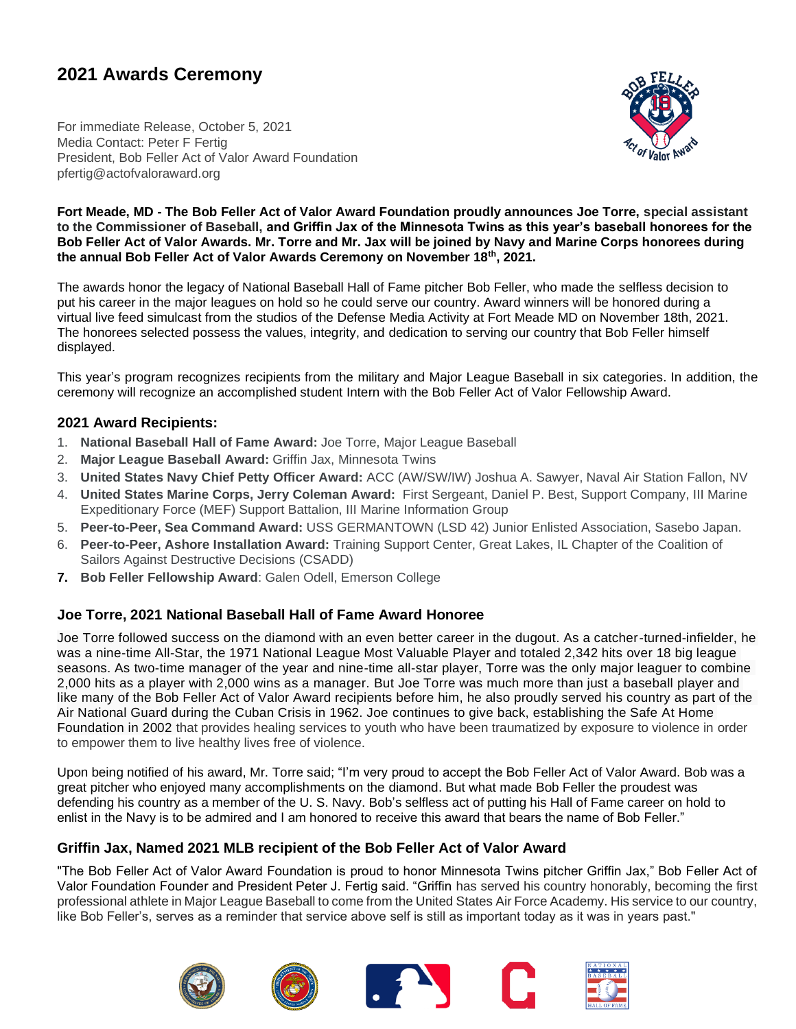# **2021 Awards Ceremony**

For immediate Release, October 5, 2021 Media Contact: Peter F Fertig President, Bob Feller Act of Valor Award Foundation pfertig@actofvaloraward.org



#### **Fort Meade, MD - The Bob Feller Act of Valor Award Foundation proudly announces Joe Torre, special assistant to the Commissioner of Baseball, and Griffin Jax of the Minnesota Twins as this year's baseball honorees for the Bob Feller Act of Valor Awards. Mr. Torre and Mr. Jax will be joined by Navy and Marine Corps honorees during the annual Bob Feller Act of Valor Awards Ceremony on November 18th, 2021.**

The awards honor the legacy of National Baseball Hall of Fame pitcher Bob Feller, who made the selfless decision to put his career in the major leagues on hold so he could serve our country. Award winners will be honored during a virtual live feed simulcast from the studios of the Defense Media Activity at Fort Meade MD on November 18th, 2021. The honorees selected possess the values, integrity, and dedication to serving our country that Bob Feller himself displayed.

This year's program recognizes recipients from the military and Major League Baseball in six categories. In addition, the ceremony will recognize an accomplished student Intern with the Bob Feller Act of Valor Fellowship Award.

## **2021 Award Recipients:**

- 1. **National Baseball Hall of Fame Award:** Joe Torre, Major League Baseball
- 2. **Major League Baseball Award:** Griffin Jax, Minnesota Twins
- 3. **United States Navy Chief Petty Officer Award:** ACC (AW/SW/IW) Joshua A. Sawyer, Naval Air Station Fallon, NV
- 4. **United States Marine Corps, Jerry Coleman Award:** First Sergeant, Daniel P. Best, Support Company, III Marine Expeditionary Force (MEF) Support Battalion, III Marine Information Group
- 5. **Peer-to-Peer, Sea Command Award:** USS GERMANTOWN (LSD 42) Junior Enlisted Association, Sasebo Japan.
- 6. **Peer-to-Peer, Ashore Installation Award:** Training Support Center, Great Lakes, IL Chapter of the Coalition of Sailors Against Destructive Decisions (CSADD)
- **7. Bob Feller Fellowship Award**: Galen Odell, Emerson College

# **Joe Torre, 2021 National Baseball Hall of Fame Award Honoree**

Joe Torre followed success on the diamond with an even better career in the dugout. As a catcher-turned-infielder, he was a nine-time All-Star, the 1971 National League Most Valuable Player and totaled 2,342 hits over 18 big league seasons. As two-time manager of the year and nine-time all-star player, Torre was the only major leaguer to combine 2,000 hits as a player with 2,000 wins as a manager. But Joe Torre was much more than just a baseball player and like many of the Bob Feller Act of Valor Award recipients before him, he also proudly served his country as part of the Air National Guard during the Cuban Crisis in 1962. Joe continues to give back, establishing the Safe At Home Foundation in 2002 that provides healing services to youth who have been traumatized by exposure to violence in order to empower them to live healthy lives free of violence.

Upon being notified of his award, Mr. Torre said; "I'm very proud to accept the Bob Feller Act of Valor Award. Bob was a great pitcher who enjoyed many accomplishments on the diamond. But what made Bob Feller the proudest was defending his country as a member of the U. S. Navy. Bob's selfless act of putting his Hall of Fame career on hold to enlist in the Navy is to be admired and I am honored to receive this award that bears the name of Bob Feller."

## **Griffin Jax, Named 2021 MLB recipient of the Bob Feller Act of Valor Award**

"The Bob Feller Act of Valor Award Foundation is proud to honor Minnesota Twins pitcher Griffin Jax," Bob Feller Act of Valor Foundation Founder and President Peter J. Fertig said. "Griffin has served his country honorably, becoming the first professional athlete in Major League Baseball to come from the United States Air Force Academy. His service to our country, like Bob Feller's, serves as a reminder that service above self is still as important today as it was in years past."

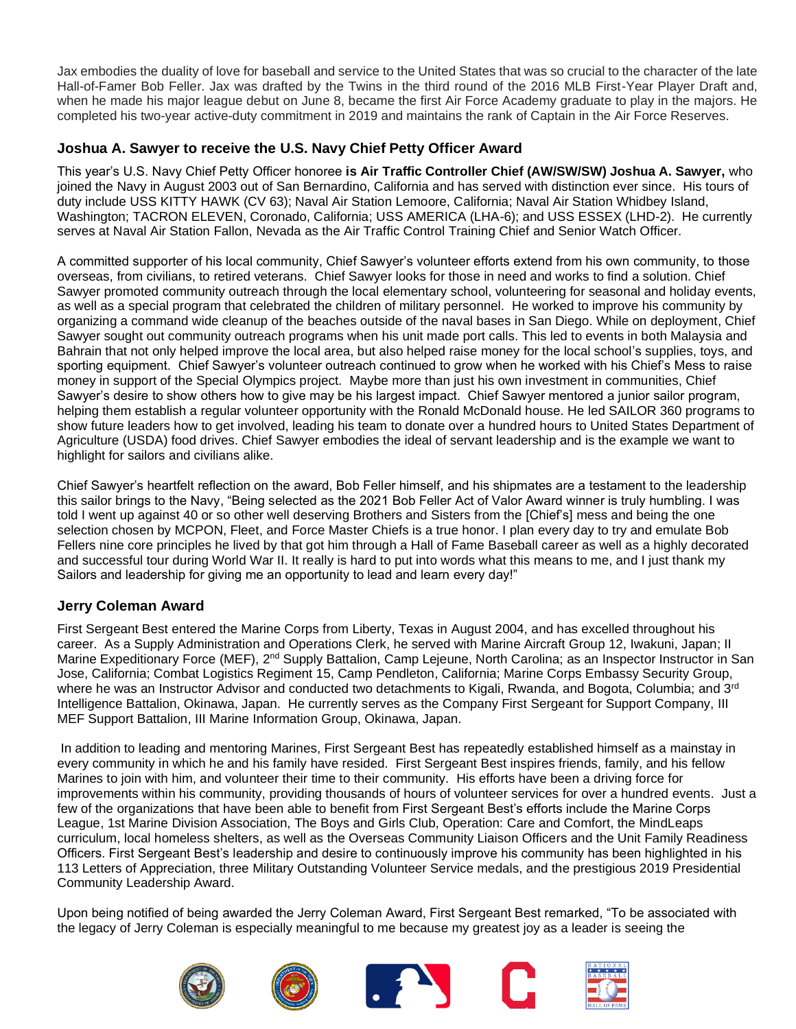Jax embodies the duality of love for baseball and service to the United States that was so crucial to the character of the late Hall-of-Famer Bob Feller. Jax was drafted by the Twins in the third round of the 2016 MLB First-Year Player Draft and, when he made his major league debut on June 8, became the first Air Force Academy graduate to play in the majors. He completed his two-year active-duty commitment in 2019 and maintains the rank of Captain in the Air Force Reserves.

# **Joshua A. Sawyer to receive the U.S. Navy Chief Petty Officer Award**

This year's U.S. Navy Chief Petty Officer honoree **is Air Traffic Controller Chief (AW/SW/SW) Joshua A. Sawyer,** who joined the Navy in August 2003 out of San Bernardino, California and has served with distinction ever since. His tours of duty include USS KITTY HAWK (CV 63); Naval Air Station Lemoore, California; Naval Air Station Whidbey Island, Washington; TACRON ELEVEN, Coronado, California; USS AMERICA (LHA-6); and USS ESSEX (LHD-2). He currently serves at Naval Air Station Fallon, Nevada as the Air Traffic Control Training Chief and Senior Watch Officer.

A committed supporter of his local community, Chief Sawyer's volunteer efforts extend from his own community, to those overseas, from civilians, to retired veterans. Chief Sawyer looks for those in need and works to find a solution. Chief Sawyer promoted community outreach through the local elementary school, volunteering for seasonal and holiday events, as well as a special program that celebrated the children of military personnel. He worked to improve his community by organizing a command wide cleanup of the beaches outside of the naval bases in San Diego. While on deployment, Chief Sawyer sought out community outreach programs when his unit made port calls. This led to events in both Malaysia and Bahrain that not only helped improve the local area, but also helped raise money for the local school's supplies, toys, and sporting equipment. Chief Sawyer's volunteer outreach continued to grow when he worked with his Chief's Mess to raise money in support of the Special Olympics project. Maybe more than just his own investment in communities, Chief Sawyer's desire to show others how to give may be his largest impact. Chief Sawyer mentored a junior sailor program, helping them establish a regular volunteer opportunity with the Ronald McDonald house. He led SAILOR 360 programs to show future leaders how to get involved, leading his team to donate over a hundred hours to United States Department of Agriculture (USDA) food drives. Chief Sawyer embodies the ideal of servant leadership and is the example we want to highlight for sailors and civilians alike.

Chief Sawyer's heartfelt reflection on the award, Bob Feller himself, and his shipmates are a testament to the leadership this sailor brings to the Navy, "Being selected as the 2021 Bob Feller Act of Valor Award winner is truly humbling. I was told I went up against 40 or so other well deserving Brothers and Sisters from the [Chief's] mess and being the one selection chosen by MCPON, Fleet, and Force Master Chiefs is a true honor. I plan every day to try and emulate Bob Fellers nine core principles he lived by that got him through a Hall of Fame Baseball career as well as a highly decorated and successful tour during World War II. It really is hard to put into words what this means to me, and I just thank my Sailors and leadership for giving me an opportunity to lead and learn every day!"

# **Jerry Coleman Award**

First Sergeant Best entered the Marine Corps from Liberty, Texas in August 2004, and has excelled throughout his career. As a Supply Administration and Operations Clerk, he served with Marine Aircraft Group 12, Iwakuni, Japan; II Marine Expeditionary Force (MEF), 2<sup>nd</sup> Supply Battalion, Camp Lejeune, North Carolina; as an Inspector Instructor in San Jose, California; Combat Logistics Regiment 15, Camp Pendleton, California; Marine Corps Embassy Security Group, where he was an Instructor Advisor and conducted two detachments to Kigali, Rwanda, and Bogota, Columbia; and 3<sup>rd</sup> Intelligence Battalion, Okinawa, Japan. He currently serves as the Company First Sergeant for Support Company, III MEF Support Battalion, III Marine Information Group, Okinawa, Japan.

In addition to leading and mentoring Marines, First Sergeant Best has repeatedly established himself as a mainstay in every community in which he and his family have resided. First Sergeant Best inspires friends, family, and his fellow Marines to join with him, and volunteer their time to their community. His efforts have been a driving force for improvements within his community, providing thousands of hours of volunteer services for over a hundred events. Just a few of the organizations that have been able to benefit from First Sergeant Best's efforts include the Marine Corps League, 1st Marine Division Association, The Boys and Girls Club, Operation: Care and Comfort, the MindLeaps curriculum, local homeless shelters, as well as the Overseas Community Liaison Officers and the Unit Family Readiness Officers. First Sergeant Best's leadership and desire to continuously improve his community has been highlighted in his 113 Letters of Appreciation, three Military Outstanding Volunteer Service medals, and the prestigious 2019 Presidential Community Leadership Award.

Upon being notified of being awarded the Jerry Coleman Award, First Sergeant Best remarked, "To be associated with the legacy of Jerry Coleman is especially meaningful to me because my greatest joy as a leader is seeing the

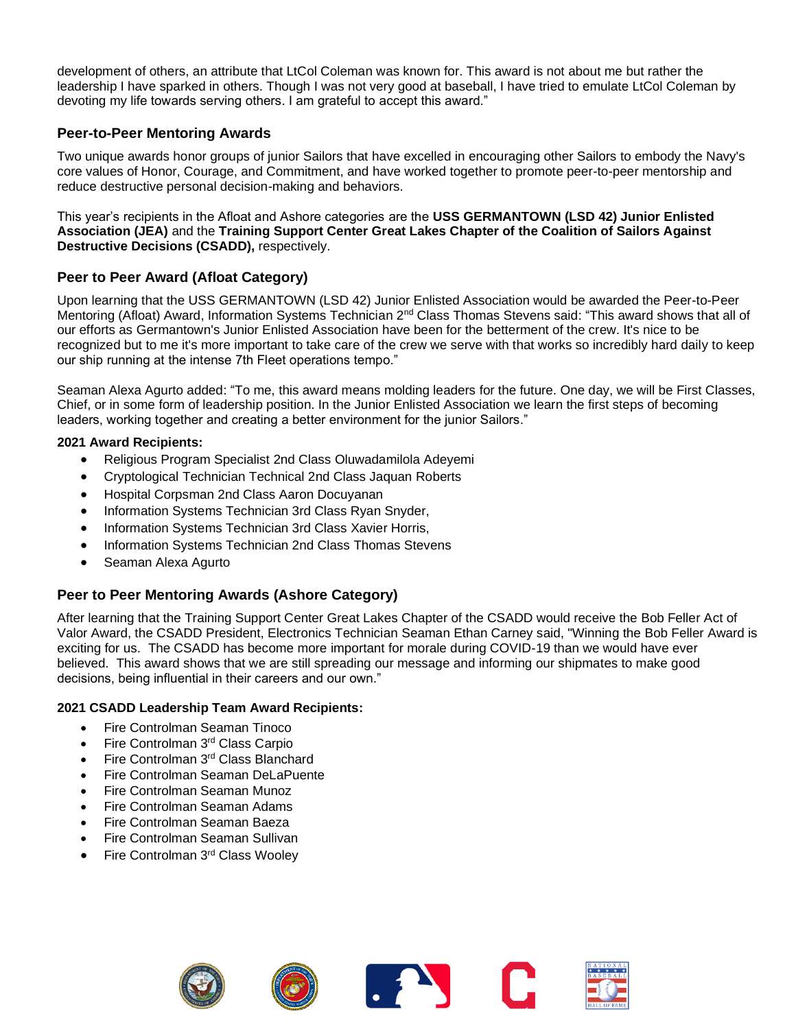development of others, an attribute that LtCol Coleman was known for. This award is not about me but rather the leadership I have sparked in others. Though I was not very good at baseball, I have tried to emulate LtCol Coleman by devoting my life towards serving others. I am grateful to accept this award."

# **Peer-to-Peer Mentoring Awards**

Two unique awards honor groups of junior Sailors that have excelled in encouraging other Sailors to embody the Navy's core values of Honor, Courage, and Commitment, and have worked together to promote peer-to-peer mentorship and reduce destructive personal decision-making and behaviors.

This year's recipients in the Afloat and Ashore categories are the **USS GERMANTOWN (LSD 42) Junior Enlisted Association (JEA)** and the **Training Support Center Great Lakes Chapter of the Coalition of Sailors Against Destructive Decisions (CSADD),** respectively.

## **Peer to Peer Award (Afloat Category)**

Upon learning that the USS GERMANTOWN (LSD 42) Junior Enlisted Association would be awarded the Peer-to-Peer Mentoring (Afloat) Award, Information Systems Technician 2<sup>nd</sup> Class Thomas Stevens said: "This award shows that all of our efforts as Germantown's Junior Enlisted Association have been for the betterment of the crew. It's nice to be recognized but to me it's more important to take care of the crew we serve with that works so incredibly hard daily to keep our ship running at the intense 7th Fleet operations tempo."

Seaman Alexa Agurto added: "To me, this award means molding leaders for the future. One day, we will be First Classes, Chief, or in some form of leadership position. In the Junior Enlisted Association we learn the first steps of becoming leaders, working together and creating a better environment for the junior Sailors."

### **2021 Award Recipients:**

- Religious Program Specialist 2nd Class Oluwadamilola Adeyemi
- Cryptological Technician Technical 2nd Class Jaquan Roberts
- Hospital Corpsman 2nd Class Aaron Docuyanan
- Information Systems Technician 3rd Class Ryan Snyder,
- Information Systems Technician 3rd Class Xavier Horris,
- Information Systems Technician 2nd Class Thomas Stevens
- Seaman Alexa Agurto

# **Peer to Peer Mentoring Awards (Ashore Category)**

After learning that the Training Support Center Great Lakes Chapter of the CSADD would receive the Bob Feller Act of Valor Award, the CSADD President, Electronics Technician Seaman Ethan Carney said, "Winning the Bob Feller Award is exciting for us. The CSADD has become more important for morale during COVID-19 than we would have ever believed. This award shows that we are still spreading our message and informing our shipmates to make good decisions, being influential in their careers and our own."

#### **2021 CSADD Leadership Team Award Recipients:**

- Fire Controlman Seaman Tinoco
- Fire Controlman 3rd Class Carpio
- Fire Controlman 3<sup>rd</sup> Class Blanchard
- Fire Controlman Seaman DeLaPuente
- Fire Controlman Seaman Munoz
- Fire Controlman Seaman Adams
- Fire Controlman Seaman Baeza
- Fire Controlman Seaman Sullivan
- Fire Controlman 3rd Class Wooley